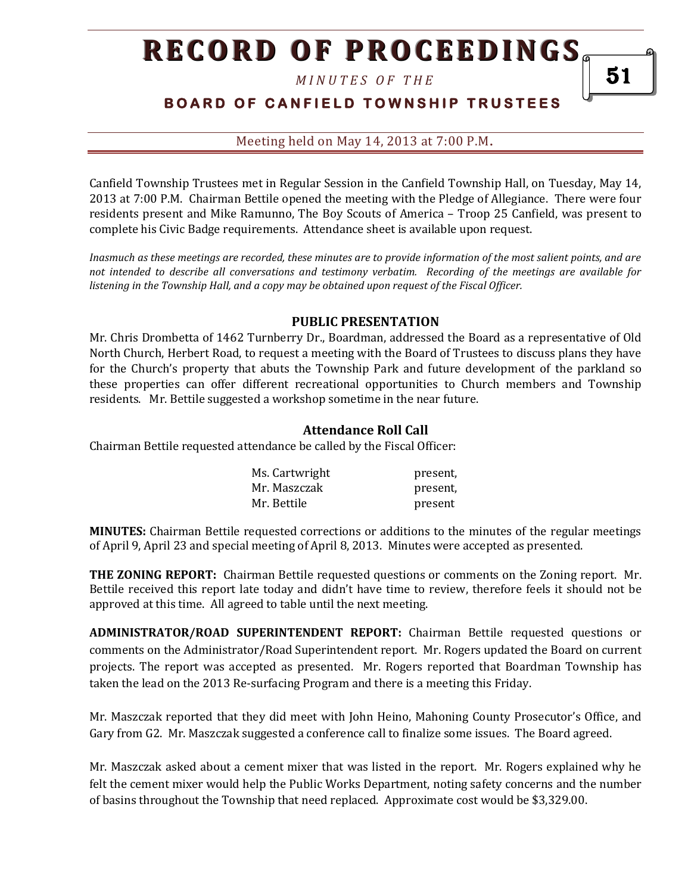*M I N U T E S O F T H E* 

# **B O A R D O F C A N F I E L D T O W N S H I P T R U S T E E S**

Meeting held on May 14, 2013 at 7:00 P.M**.**

Canfield Township Trustees met in Regular Session in the Canfield Township Hall, on Tuesday, May 14, 2013 at 7:00 P.M. Chairman Bettile opened the meeting with the Pledge of Allegiance. There were four residents present and Mike Ramunno, The Boy Scouts of America – Troop 25 Canfield, was present to complete his Civic Badge requirements. Attendance sheet is available upon request.

*Inasmuch as these meetings are recorded, these minutes are to provide information of the most salient points, and are not intended to describe all conversations and testimony verbatim. Recording of the meetings are available for listening in the Township Hall, and a copy may be obtained upon request of the Fiscal Officer.* 

#### **PUBLIC PRESENTATION**

Mr. Chris Drombetta of 1462 Turnberry Dr., Boardman, addressed the Board as a representative of Old North Church, Herbert Road, to request a meeting with the Board of Trustees to discuss plans they have for the Church's property that abuts the Township Park and future development of the parkland so these properties can offer different recreational opportunities to Church members and Township residents. Mr. Bettile suggested a workshop sometime in the near future.

#### **Attendance Roll Call**

Chairman Bettile requested attendance be called by the Fiscal Officer:

| Ms. Cartwright | present, |
|----------------|----------|
| Mr. Maszczak   | present, |
| Mr. Bettile    | present  |

**MINUTES:** Chairman Bettile requested corrections or additions to the minutes of the regular meetings of April 9, April 23 and special meeting of April 8, 2013. Minutes were accepted as presented.

**THE ZONING REPORT:** Chairman Bettile requested questions or comments on the Zoning report. Mr. Bettile received this report late today and didn't have time to review, therefore feels it should not be approved at this time. All agreed to table until the next meeting.

**ADMINISTRATOR/ROAD SUPERINTENDENT REPORT:** Chairman Bettile requested questions or comments on the Administrator/Road Superintendent report. Mr. Rogers updated the Board on current projects. The report was accepted as presented. Mr. Rogers reported that Boardman Township has taken the lead on the 2013 Re-surfacing Program and there is a meeting this Friday.

Mr. Maszczak reported that they did meet with John Heino, Mahoning County Prosecutor's Office, and Gary from G2. Mr. Maszczak suggested a conference call to finalize some issues. The Board agreed.

Mr. Maszczak asked about a cement mixer that was listed in the report. Mr. Rogers explained why he felt the cement mixer would help the Public Works Department, noting safety concerns and the number of basins throughout the Township that need replaced. Approximate cost would be \$3,329.00.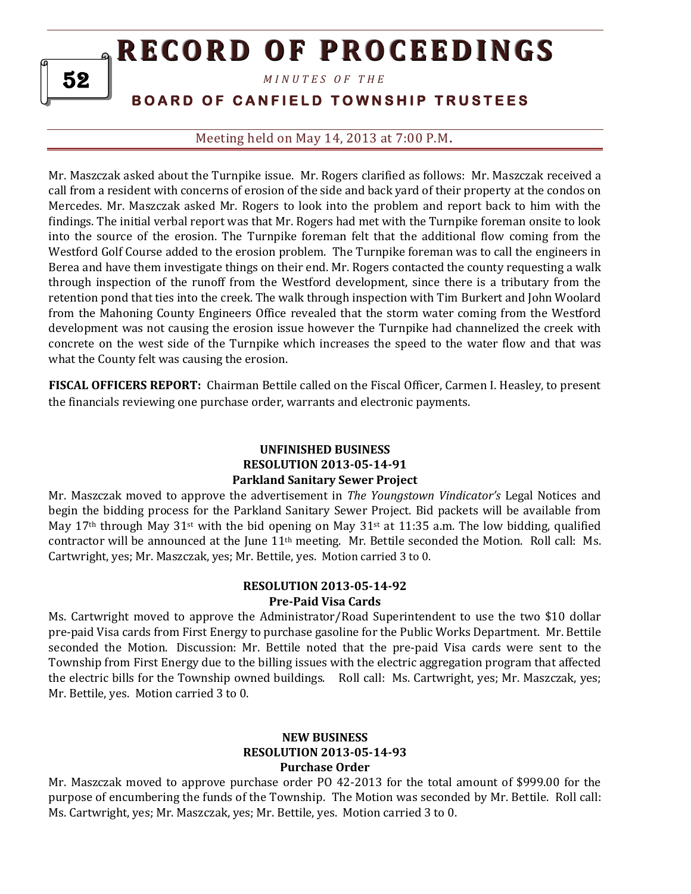*M I N U T E S O F T H E* 

# **BOARD OF CANFIELD TOWNSHIP TRUSTEES**

Meeting held on May 14, 2013 at 7:00 P.M**.**

Mr. Maszczak asked about the Turnpike issue. Mr. Rogers clarified as follows: Mr. Maszczak received a call from a resident with concerns of erosion of the side and back yard of their property at the condos on Mercedes. Mr. Maszczak asked Mr. Rogers to look into the problem and report back to him with the findings. The initial verbal report was that Mr. Rogers had met with the Turnpike foreman onsite to look into the source of the erosion. The Turnpike foreman felt that the additional flow coming from the Westford Golf Course added to the erosion problem. The Turnpike foreman was to call the engineers in Berea and have them investigate things on their end. Mr. Rogers contacted the county requesting a walk through inspection of the runoff from the Westford development, since there is a tributary from the retention pond that ties into the creek. The walk through inspection with Tim Burkert and John Woolard from the Mahoning County Engineers Office revealed that the storm water coming from the Westford development was not causing the erosion issue however the Turnpike had channelized the creek with concrete on the west side of the Turnpike which increases the speed to the water flow and that was what the County felt was causing the erosion.

**FISCAL OFFICERS REPORT:** Chairman Bettile called on the Fiscal Officer, Carmen I. Heasley, to present the financials reviewing one purchase order, warrants and electronic payments.

### **UNFINISHED BUSINESS RESOLUTION 2013-05-14-91 Parkland Sanitary Sewer Project**

Mr. Maszczak moved to approve the advertisement in *The Youngstown Vindicator's* Legal Notices and begin the bidding process for the Parkland Sanitary Sewer Project. Bid packets will be available from May 17<sup>th</sup> through May 31<sup>st</sup> with the bid opening on May 31<sup>st</sup> at 11:35 a.m. The low bidding, qualified contractor will be announced at the June 11th meeting. Mr. Bettile seconded the Motion. Roll call: Ms. Cartwright, yes; Mr. Maszczak, yes; Mr. Bettile, yes. Motion carried 3 to 0.

## **RESOLUTION 2013-05-14-92 Pre-Paid Visa Cards**

Ms. Cartwright moved to approve the Administrator/Road Superintendent to use the two \$10 dollar pre-paid Visa cards from First Energy to purchase gasoline for the Public Works Department. Mr. Bettile seconded the Motion. Discussion: Mr. Bettile noted that the pre-paid Visa cards were sent to the Township from First Energy due to the billing issues with the electric aggregation program that affected the electric bills for the Township owned buildings. Roll call: Ms. Cartwright, yes; Mr. Maszczak, yes; Mr. Bettile, yes. Motion carried 3 to 0.

## **NEW BUSINESS RESOLUTION 2013-05-14-93 Purchase Order**

Mr. Maszczak moved to approve purchase order PO 42-2013 for the total amount of \$999.00 for the purpose of encumbering the funds of the Township. The Motion was seconded by Mr. Bettile. Roll call: Ms. Cartwright, yes; Mr. Maszczak, yes; Mr. Bettile, yes. Motion carried 3 to 0.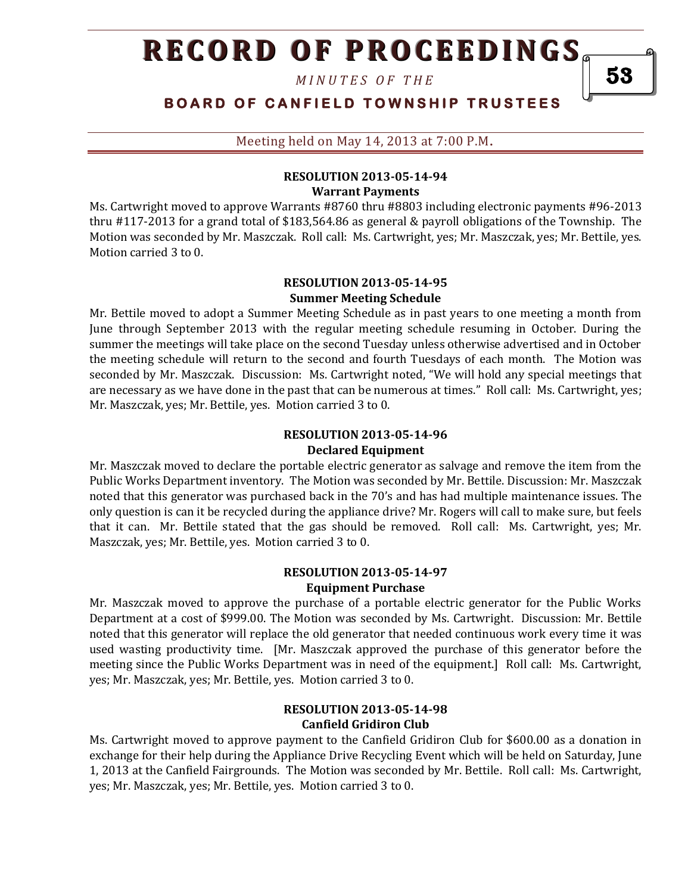*M I N U T E S O F T H E* 

**BOARD OF CANFIELD TOWNSHIP TRUSTEES** 

Meeting held on May 14, 2013 at 7:00 P.M**.**

#### **RESOLUTION 2013-05-14-94 Warrant Payments**

Ms. Cartwright moved to approve Warrants #8760 thru #8803 including electronic payments #96-2013 thru #117-2013 for a grand total of \$183,564.86 as general & payroll obligations of the Township. The Motion was seconded by Mr. Maszczak. Roll call: Ms. Cartwright, yes; Mr. Maszczak, yes; Mr. Bettile, yes. Motion carried 3 to 0.

#### **RESOLUTION 2013-05-14-95 Summer Meeting Schedule**

Mr. Bettile moved to adopt a Summer Meeting Schedule as in past years to one meeting a month from June through September 2013 with the regular meeting schedule resuming in October. During the summer the meetings will take place on the second Tuesday unless otherwise advertised and in October the meeting schedule will return to the second and fourth Tuesdays of each month. The Motion was seconded by Mr. Maszczak. Discussion: Ms. Cartwright noted, "We will hold any special meetings that are necessary as we have done in the past that can be numerous at times." Roll call: Ms. Cartwright, yes; Mr. Maszczak, yes; Mr. Bettile, yes. Motion carried 3 to 0.

## **RESOLUTION 2013-05-14-96 Declared Equipment**

Mr. Maszczak moved to declare the portable electric generator as salvage and remove the item from the Public Works Department inventory. The Motion was seconded by Mr. Bettile. Discussion: Mr. Maszczak noted that this generator was purchased back in the 70's and has had multiple maintenance issues. The only question is can it be recycled during the appliance drive? Mr. Rogers will call to make sure, but feels that it can. Mr. Bettile stated that the gas should be removed. Roll call: Ms. Cartwright, yes; Mr. Maszczak, yes; Mr. Bettile, yes. Motion carried 3 to 0.

### **RESOLUTION 2013-05-14-97 Equipment Purchase**

Mr. Maszczak moved to approve the purchase of a portable electric generator for the Public Works Department at a cost of \$999.00. The Motion was seconded by Ms. Cartwright. Discussion: Mr. Bettile noted that this generator will replace the old generator that needed continuous work every time it was used wasting productivity time. [Mr. Maszczak approved the purchase of this generator before the meeting since the Public Works Department was in need of the equipment.] Roll call: Ms. Cartwright, yes; Mr. Maszczak, yes; Mr. Bettile, yes. Motion carried 3 to 0.

### **RESOLUTION 2013-05-14-98 Canfield Gridiron Club**

Ms. Cartwright moved to approve payment to the Canfield Gridiron Club for \$600.00 as a donation in exchange for their help during the Appliance Drive Recycling Event which will be held on Saturday, June 1, 2013 at the Canfield Fairgrounds. The Motion was seconded by Mr. Bettile. Roll call: Ms. Cartwright, yes; Mr. Maszczak, yes; Mr. Bettile, yes. Motion carried 3 to 0.